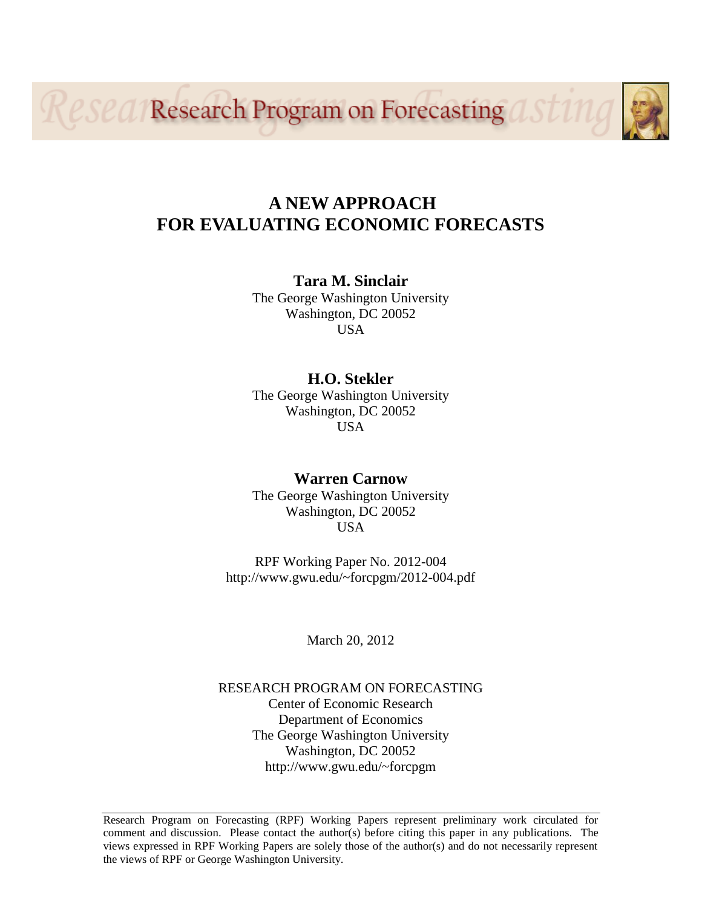*eseal* Research Program on Forecasting

## **A NEW APPROACH FOR EVALUATING ECONOMIC FORECASTS**

**Tara M. Sinclair** The George Washington University Washington, DC 20052 USA

## **H.O. Stekler**

The George Washington University Washington, DC 20052 USA

## **Warren Carnow**

The George Washington University Washington, DC 20052 **USA** 

RPF Working Paper No. 2012-004 http://www.gwu.edu/~forcpgm/2012-004.pdf

March 20, 2012

## RESEARCH PROGRAM ON FORECASTING Center of Economic Research Department of Economics The George Washington University Washington, DC 20052 http://www.gwu.edu/~forcpgm

Research Program on Forecasting (RPF) Working Papers represent preliminary work circulated for comment and discussion. Please contact the author(s) before citing this paper in any publications. The views expressed in RPF Working Papers are solely those of the author(s) and do not necessarily represent the views of RPF or George Washington University.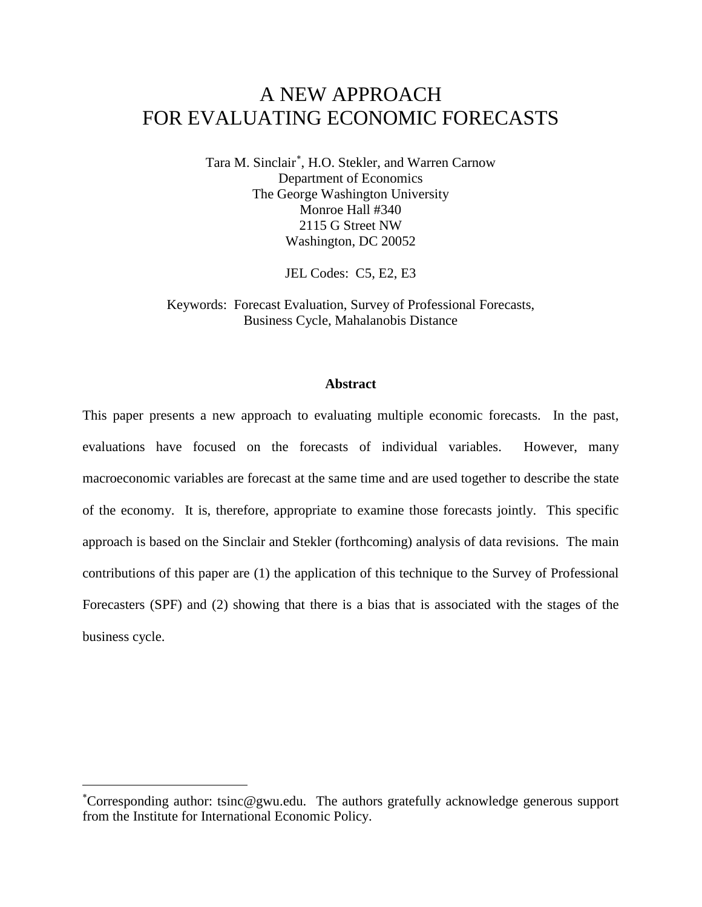# A NEW APPROACH FOR EVALUATING ECONOMIC FORECASTS

Tara M. Sinclair<sup>\*</sup>, H.O. Stekler, and Warren Carnow Department of Economics The George Washington University Monroe Hall #340 2115 G Street NW Washington, DC 20052

JEL Codes: C5, E2, E3

Keywords: Forecast Evaluation, Survey of Professional Forecasts, Business Cycle, Mahalanobis Distance

#### **Abstract**

This paper presents a new approach to evaluating multiple economic forecasts. In the past, evaluations have focused on the forecasts of individual variables. However, many macroeconomic variables are forecast at the same time and are used together to describe the state of the economy. It is, therefore, appropriate to examine those forecasts jointly. This specific approach is based on the Sinclair and Stekler (forthcoming) analysis of data revisions. The main contributions of this paper are (1) the application of this technique to the Survey of Professional Forecasters (SPF) and (2) showing that there is a bias that is associated with the stages of the business cycle.

<span id="page-1-0"></span>∗ Corresponding author: tsinc@gwu.edu. The authors gratefully acknowledge generous support from the Institute for International Economic Policy.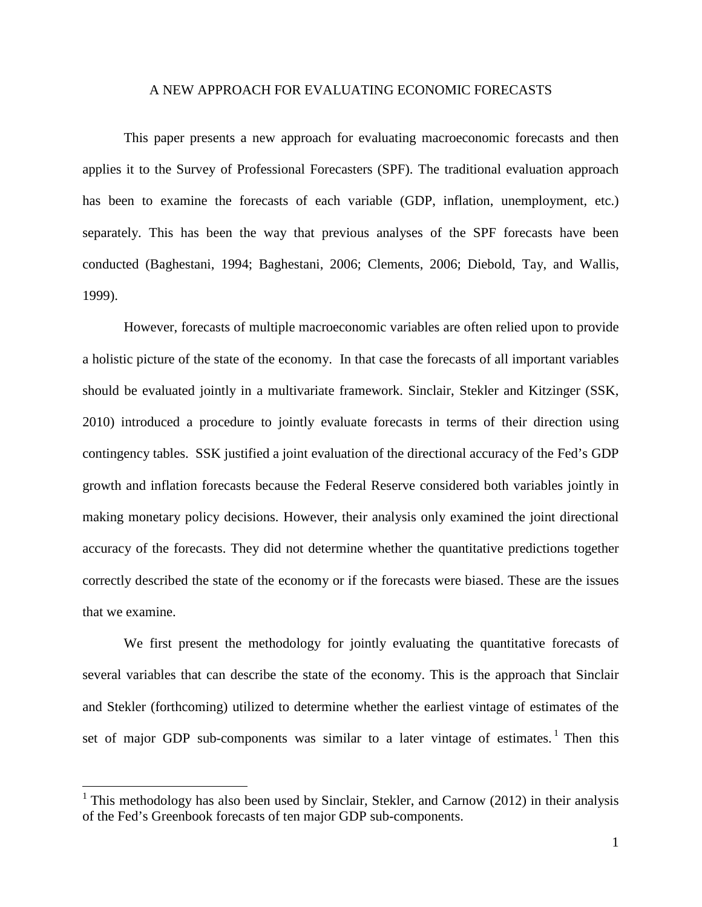#### A NEW APPROACH FOR EVALUATING ECONOMIC FORECASTS

This paper presents a new approach for evaluating macroeconomic forecasts and then applies it to the Survey of Professional Forecasters (SPF). The traditional evaluation approach has been to examine the forecasts of each variable (GDP, inflation, unemployment, etc.) separately. This has been the way that previous analyses of the SPF forecasts have been conducted (Baghestani, 1994; Baghestani, 2006; Clements, 2006; Diebold, Tay, and Wallis, 1999).

However, forecasts of multiple macroeconomic variables are often relied upon to provide a holistic picture of the state of the economy. In that case the forecasts of all important variables should be evaluated jointly in a multivariate framework. Sinclair, Stekler and Kitzinger (SSK, 2010) introduced a procedure to jointly evaluate forecasts in terms of their direction using contingency tables. SSK justified a joint evaluation of the directional accuracy of the Fed's GDP growth and inflation forecasts because the Federal Reserve considered both variables jointly in making monetary policy decisions. However, their analysis only examined the joint directional accuracy of the forecasts. They did not determine whether the quantitative predictions together correctly described the state of the economy or if the forecasts were biased. These are the issues that we examine.

We first present the methodology for jointly evaluating the quantitative forecasts of several variables that can describe the state of the economy. This is the approach that Sinclair and Stekler (forthcoming) utilized to determine whether the earliest vintage of estimates of the set of major GDP sub-components was similar to a later vintage of estimates.<sup>[1](#page-2-0)</sup> Then this

<span id="page-2-0"></span><sup>&</sup>lt;sup>1</sup> This methodology has also been used by Sinclair, Stekler, and Carnow (2012) in their analysis of the Fed's Greenbook forecasts of ten major GDP sub-components.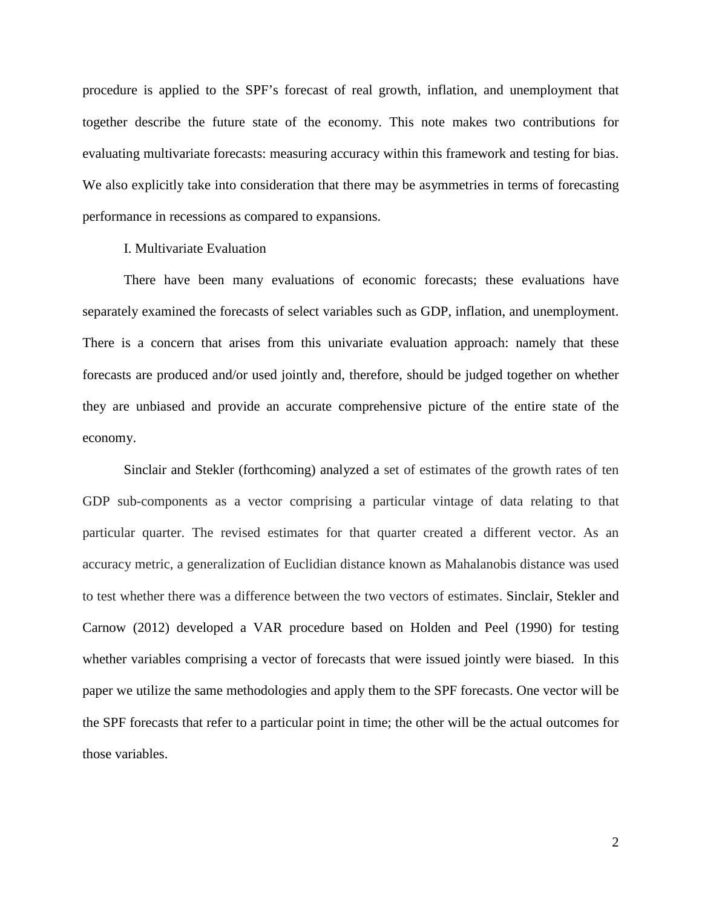procedure is applied to the SPF's forecast of real growth, inflation, and unemployment that together describe the future state of the economy. This note makes two contributions for evaluating multivariate forecasts: measuring accuracy within this framework and testing for bias. We also explicitly take into consideration that there may be asymmetries in terms of forecasting performance in recessions as compared to expansions.

#### I. Multivariate Evaluation

There have been many evaluations of economic forecasts; these evaluations have separately examined the forecasts of select variables such as GDP, inflation, and unemployment. There is a concern that arises from this univariate evaluation approach: namely that these forecasts are produced and/or used jointly and, therefore, should be judged together on whether they are unbiased and provide an accurate comprehensive picture of the entire state of the economy.

Sinclair and Stekler (forthcoming) analyzed a set of estimates of the growth rates of ten GDP sub-components as a vector comprising a particular vintage of data relating to that particular quarter. The revised estimates for that quarter created a different vector. As an accuracy metric, a generalization of Euclidian distance known as Mahalanobis distance was used to test whether there was a difference between the two vectors of estimates. Sinclair, Stekler and Carnow (2012) developed a VAR procedure based on Holden and Peel (1990) for testing whether variables comprising a vector of forecasts that were issued jointly were biased. In this paper we utilize the same methodologies and apply them to the SPF forecasts. One vector will be the SPF forecasts that refer to a particular point in time; the other will be the actual outcomes for those variables.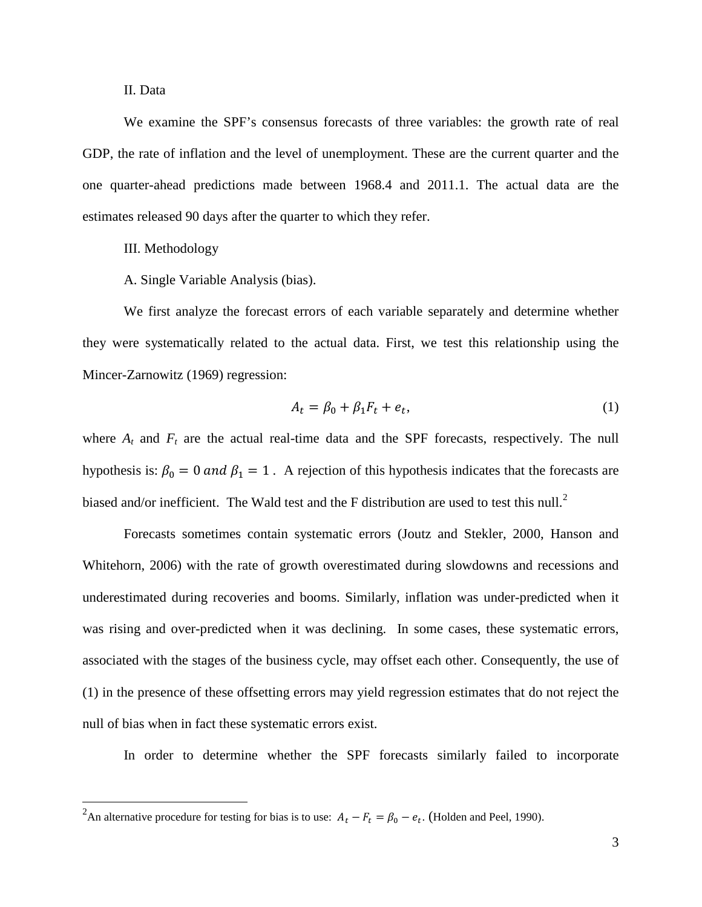II. Data

We examine the SPF's consensus forecasts of three variables: the growth rate of real GDP, the rate of inflation and the level of unemployment. These are the current quarter and the one quarter-ahead predictions made between 1968.4 and 2011.1. The actual data are the estimates released 90 days after the quarter to which they refer.

III. Methodology

A. Single Variable Analysis (bias).

We first analyze the forecast errors of each variable separately and determine whether they were systematically related to the actual data. First, we test this relationship using the Mincer-Zarnowitz (1969) regression:

$$
A_t = \beta_0 + \beta_1 F_t + e_t,\tag{1}
$$

where  $A_t$  and  $F_t$  are the actual real-time data and the SPF forecasts, respectively. The null hypothesis is:  $\beta_0 = 0$  and  $\beta_1 = 1$ . A rejection of this hypothesis indicates that the forecasts are biased and/or inefficient. The Wald test and the F distribution are used to test this null.<sup>[2](#page-4-0)</sup>

Forecasts sometimes contain systematic errors (Joutz and Stekler, 2000, Hanson and Whitehorn, 2006) with the rate of growth overestimated during slowdowns and recessions and underestimated during recoveries and booms. Similarly, inflation was under-predicted when it was rising and over-predicted when it was declining. In some cases, these systematic errors, associated with the stages of the business cycle, may offset each other. Consequently, the use of (1) in the presence of these offsetting errors may yield regression estimates that do not reject the null of bias when in fact these systematic errors exist.

In order to determine whether the SPF forecasts similarly failed to incorporate

<span id="page-4-0"></span><sup>&</sup>lt;sup>2</sup> An alternative procedure for testing for bias is to use:  $A_t - F_t = \beta_0 - e_t$ . (Holden and Peel, 1990).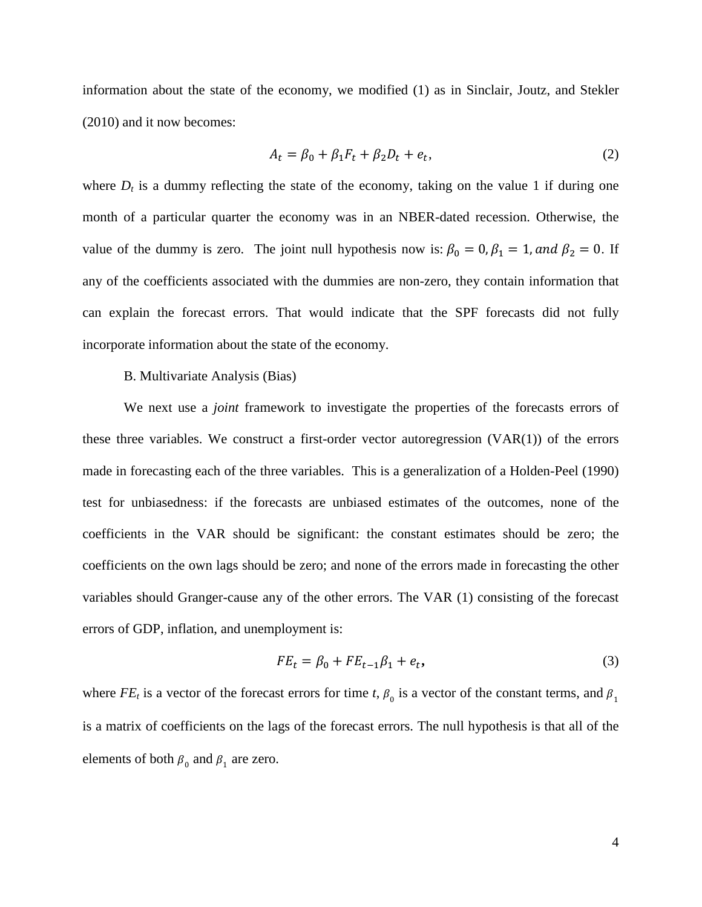information about the state of the economy, we modified (1) as in Sinclair, Joutz, and Stekler (2010) and it now becomes:

$$
A_t = \beta_0 + \beta_1 F_t + \beta_2 D_t + e_t,\tag{2}
$$

where  $D_t$  is a dummy reflecting the state of the economy, taking on the value 1 if during one month of a particular quarter the economy was in an NBER-dated recession. Otherwise, the value of the dummy is zero. The joint null hypothesis now is:  $\beta_0 = 0$ ,  $\beta_1 = 1$ , and  $\beta_2 = 0$ . If any of the coefficients associated with the dummies are non-zero, they contain information that can explain the forecast errors. That would indicate that the SPF forecasts did not fully incorporate information about the state of the economy.

#### B. Multivariate Analysis (Bias)

We next use a *joint* framework to investigate the properties of the forecasts errors of these three variables. We construct a first-order vector autoregression  $(VAR(1))$  of the errors made in forecasting each of the three variables. This is a generalization of a Holden-Peel (1990) test for unbiasedness: if the forecasts are unbiased estimates of the outcomes, none of the coefficients in the VAR should be significant: the constant estimates should be zero; the coefficients on the own lags should be zero; and none of the errors made in forecasting the other variables should Granger-cause any of the other errors. The VAR (1) consisting of the forecast errors of GDP, inflation, and unemployment is:

$$
FE_t = \beta_0 + FE_{t-1}\beta_1 + e_t,
$$
\n<sup>(3)</sup>

where  $FE_t$  is a vector of the forecast errors for time *t*,  $\beta_0$  is a vector of the constant terms, and  $\beta_1$ is a matrix of coefficients on the lags of the forecast errors. The null hypothesis is that all of the elements of both  $\beta_0$  and  $\beta_1$  are zero.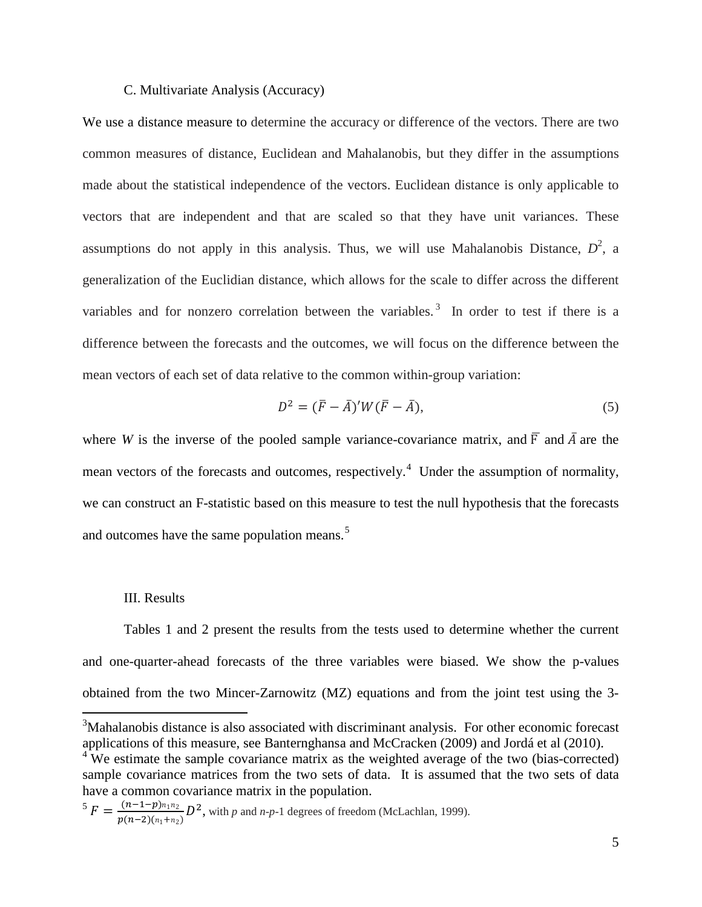#### C. Multivariate Analysis (Accuracy)

We use a distance measure to determine the accuracy or difference of the vectors. There are two common measures of distance, Euclidean and Mahalanobis, but they differ in the assumptions made about the statistical independence of the vectors. Euclidean distance is only applicable to vectors that are independent and that are scaled so that they have unit variances. These assumptions do not apply in this analysis. Thus, we will use Mahalanobis Distance,  $D^2$ , a generalization of the Euclidian distance, which allows for the scale to differ across the different variables and for nonzero correlation between the variables.<sup>[3](#page-6-0)</sup> In order to test if there is a difference between the forecasts and the outcomes, we will focus on the difference between the mean vectors of each set of data relative to the common within-group variation:

$$
D^2 = (\overline{F} - \overline{A})' W (\overline{F} - \overline{A}), \qquad (5)
$$

where *W* is the inverse of the pooled sample variance-covariance matrix, and  $\overline{F}$  and  $\overline{A}$  are the mean vectors of the forecasts and outcomes, respectively.<sup>[4](#page-6-1)</sup> Under the assumption of normality, we can construct an F-statistic based on this measure to test the null hypothesis that the forecasts and outcomes have the same population means.<sup>[5](#page-6-2)</sup>

#### III. Results

Tables 1 and 2 present the results from the tests used to determine whether the current and one-quarter-ahead forecasts of the three variables were biased. We show the p-values obtained from the two Mincer-Zarnowitz (MZ) equations and from the joint test using the 3-

<span id="page-6-0"></span><sup>&</sup>lt;sup>3</sup>Mahalanobis distance is also associated with discriminant analysis. For other economic forecast applications of this measure, see Banternghansa and McCracken (2009) and Jordá et al (2010).

<span id="page-6-1"></span><sup>&</sup>lt;sup>4</sup> We estimate the sample covariance matrix as the weighted average of the two (bias-corrected) sample covariance matrices from the two sets of data. It is assumed that the two sets of data have a common covariance matrix in the population.

<span id="page-6-2"></span> $5 F = \frac{(n-1-p)n_1n_2}{p(n-2)(n_1+n_2)} D^2$ , with *p* and *n*-*p*-1 degrees of freedom (McLachlan, 1999).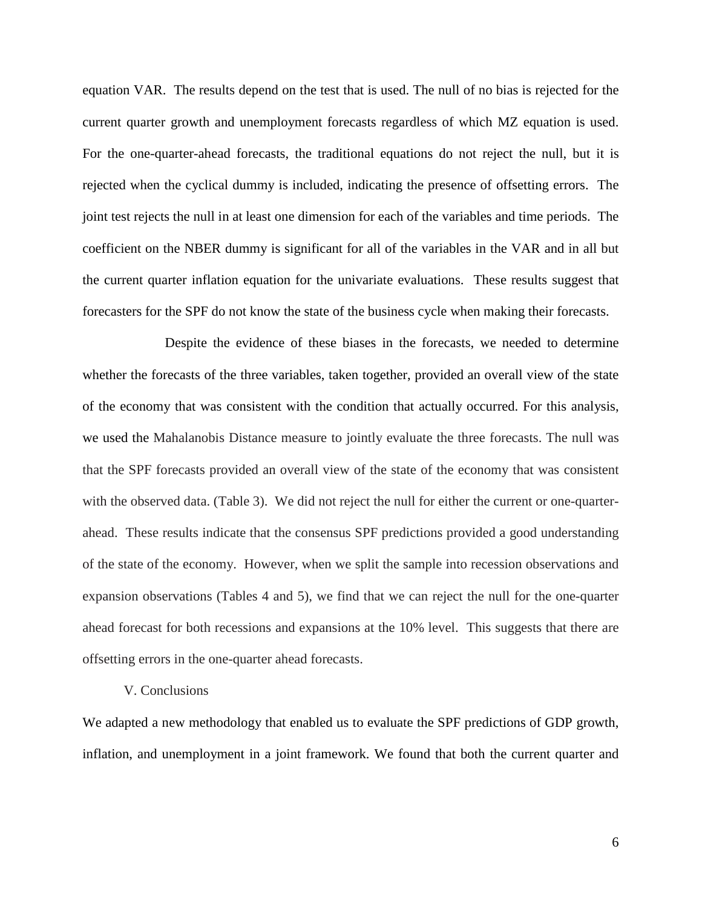equation VAR. The results depend on the test that is used. The null of no bias is rejected for the current quarter growth and unemployment forecasts regardless of which MZ equation is used. For the one-quarter-ahead forecasts, the traditional equations do not reject the null, but it is rejected when the cyclical dummy is included, indicating the presence of offsetting errors. The joint test rejects the null in at least one dimension for each of the variables and time periods. The coefficient on the NBER dummy is significant for all of the variables in the VAR and in all but the current quarter inflation equation for the univariate evaluations. These results suggest that forecasters for the SPF do not know the state of the business cycle when making their forecasts.

Despite the evidence of these biases in the forecasts, we needed to determine whether the forecasts of the three variables, taken together, provided an overall view of the state of the economy that was consistent with the condition that actually occurred. For this analysis, we used the Mahalanobis Distance measure to jointly evaluate the three forecasts. The null was that the SPF forecasts provided an overall view of the state of the economy that was consistent with the observed data. (Table 3). We did not reject the null for either the current or one-quarterahead. These results indicate that the consensus SPF predictions provided a good understanding of the state of the economy. However, when we split the sample into recession observations and expansion observations (Tables 4 and 5), we find that we can reject the null for the one-quarter ahead forecast for both recessions and expansions at the 10% level. This suggests that there are offsetting errors in the one-quarter ahead forecasts.

#### V. Conclusions

We adapted a new methodology that enabled us to evaluate the SPF predictions of GDP growth, inflation, and unemployment in a joint framework. We found that both the current quarter and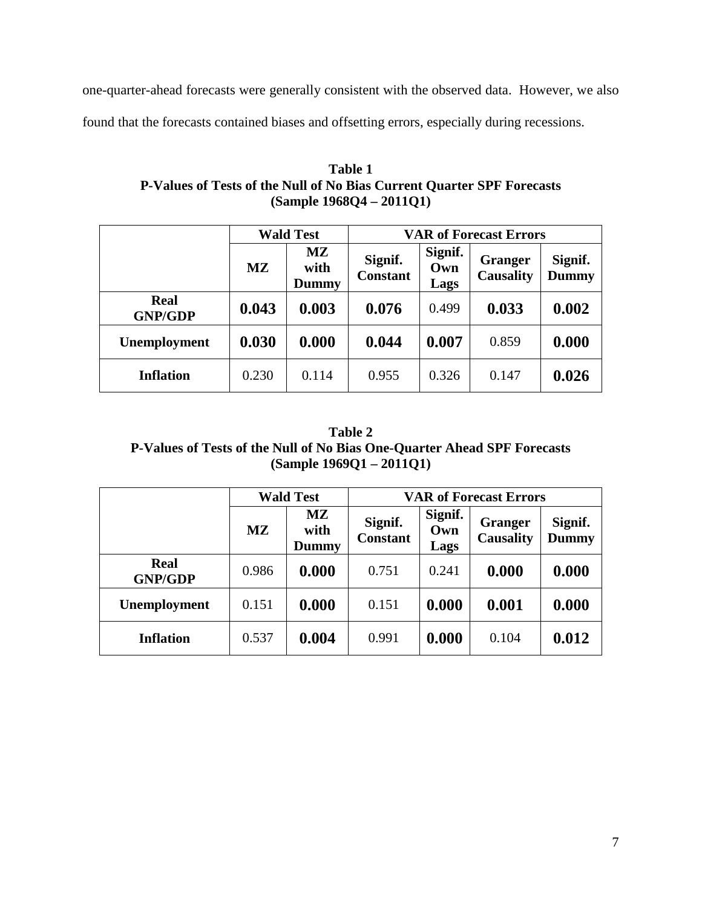one-quarter-ahead forecasts were generally consistent with the observed data. However, we also

found that the forecasts contained biases and offsetting errors, especially during recessions.

| Table 1                                                                |
|------------------------------------------------------------------------|
| P-Values of Tests of the Null of No Bias Current Quarter SPF Forecasts |
| $(Sample 1968Q4 - 2011Q1)$                                             |

|                               | <b>Wald Test</b> |                     | <b>VAR of Forecast Errors</b> |                        |                                    |                         |
|-------------------------------|------------------|---------------------|-------------------------------|------------------------|------------------------------------|-------------------------|
|                               | MZ               | MZ<br>with<br>Dummy | Signif.<br><b>Constant</b>    | Signif.<br>Own<br>Lags | <b>Granger</b><br><b>Causality</b> | Signif.<br><b>Dummy</b> |
| <b>Real</b><br><b>GNP/GDP</b> | 0.043            | 0.003               | 0.076                         | 0.499                  | 0.033                              | 0.002                   |
| Unemployment                  | 0.030            | 0.000               | 0.044                         | 0.007                  | 0.859                              | 0.000                   |
| <b>Inflation</b>              | 0.230            | 0.114               | 0.955                         | 0.326                  | 0.147                              | 0.026                   |

**Table 2 P-Values of Tests of the Null of No Bias One-Quarter Ahead SPF Forecasts (Sample 1969Q1 – 2011Q1)**

|                               | <b>Wald Test</b>        |                     | <b>VAR of Forecast Errors</b> |                        |                                    |                         |
|-------------------------------|-------------------------|---------------------|-------------------------------|------------------------|------------------------------------|-------------------------|
|                               | $\mathbf{M} \mathbf{Z}$ | MZ<br>with<br>Dummy | Signif.<br><b>Constant</b>    | Signif.<br>Own<br>Lags | <b>Granger</b><br><b>Causality</b> | Signif.<br><b>Dummy</b> |
| <b>Real</b><br><b>GNP/GDP</b> | 0.986                   | 0.000               | 0.751                         | 0.241                  | 0.000                              | 0.000                   |
| Unemployment                  | 0.151                   | 0.000               | 0.151                         | 0.000                  | 0.001                              | 0.000                   |
| <b>Inflation</b>              | 0.537                   | 0.004               | 0.991                         | 0.000                  | 0.104                              | 0.012                   |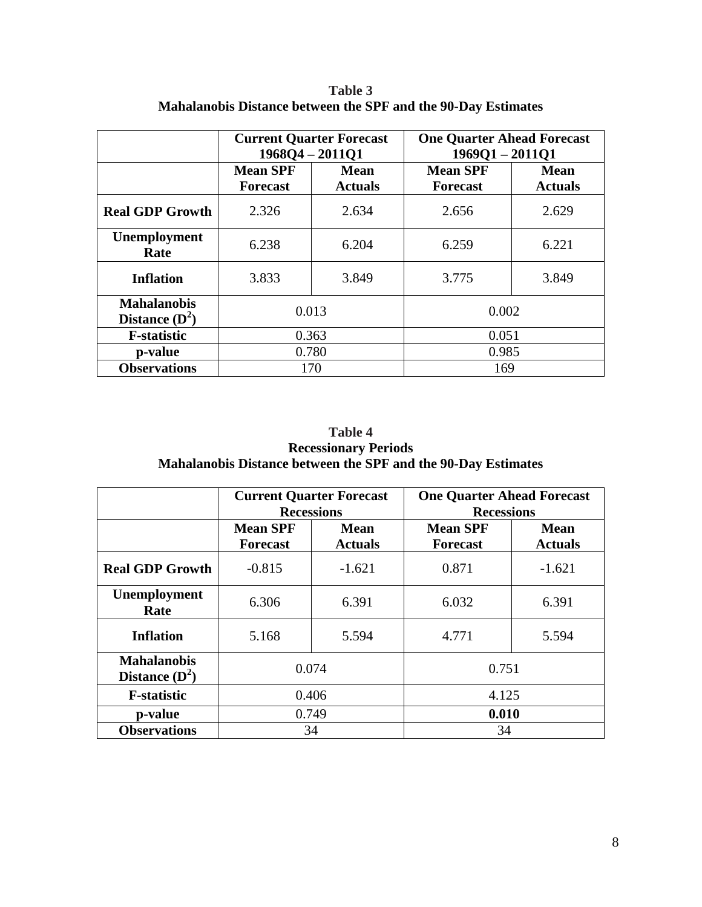|                                        |                                    | <b>Current Quarter Forecast</b><br>$1968Q4 - 2011Q1$ | <b>One Quarter Ahead Forecast</b><br>$196901 - 201101$ |                               |  |
|----------------------------------------|------------------------------------|------------------------------------------------------|--------------------------------------------------------|-------------------------------|--|
|                                        | <b>Mean SPF</b><br><b>Forecast</b> | <b>Mean</b><br><b>Actuals</b>                        | <b>Mean SPF</b><br><b>Forecast</b>                     | <b>Mean</b><br><b>Actuals</b> |  |
| <b>Real GDP Growth</b>                 | 2.326                              | 2.634                                                | 2.656                                                  | 2.629                         |  |
| Unemployment<br>Rate                   | 6.238                              | 6.204                                                | 6.259                                                  | 6.221                         |  |
| <b>Inflation</b>                       | 3.833<br>3.849                     |                                                      | 3.775                                                  | 3.849                         |  |
| <b>Mahalanobis</b><br>Distance $(D^2)$ | 0.013                              |                                                      | 0.002                                                  |                               |  |
| <b>F</b> -statistic                    |                                    | 0.363                                                | 0.051                                                  |                               |  |
| p-value                                |                                    | 0.780                                                | 0.985                                                  |                               |  |
| <b>Observations</b>                    |                                    | 170                                                  | 169                                                    |                               |  |

**Table 3 Mahalanobis Distance between the SPF and the 90-Day Estimates** 

**Table 4 Recessionary Periods Mahalanobis Distance between the SPF and the 90-Day Estimates** 

|                                        |                                    | <b>Current Quarter Forecast</b><br><b>Recessions</b> | <b>One Quarter Ahead Forecast</b><br><b>Recessions</b> |                               |  |
|----------------------------------------|------------------------------------|------------------------------------------------------|--------------------------------------------------------|-------------------------------|--|
|                                        | <b>Mean SPF</b><br><b>Forecast</b> | Mean<br><b>Actuals</b>                               | <b>Mean SPF</b><br><b>Forecast</b>                     | <b>Mean</b><br><b>Actuals</b> |  |
| <b>Real GDP Growth</b>                 | $-0.815$                           | $-1.621$                                             | 0.871                                                  | $-1.621$                      |  |
| <b>Unemployment</b><br>Rate            | 6.306<br>6.391                     |                                                      | 6.032                                                  | 6.391                         |  |
| <b>Inflation</b>                       | 5.168<br>5.594                     |                                                      | 4.771                                                  | 5.594                         |  |
| <b>Mahalanobis</b><br>Distance $(D^2)$ |                                    | 0.074                                                | 0.751                                                  |                               |  |
| <b>F</b> -statistic                    |                                    | 0.406                                                | 4.125                                                  |                               |  |
| p-value                                |                                    | 0.749                                                | 0.010                                                  |                               |  |
| <b>Observations</b>                    |                                    | 34                                                   | 34                                                     |                               |  |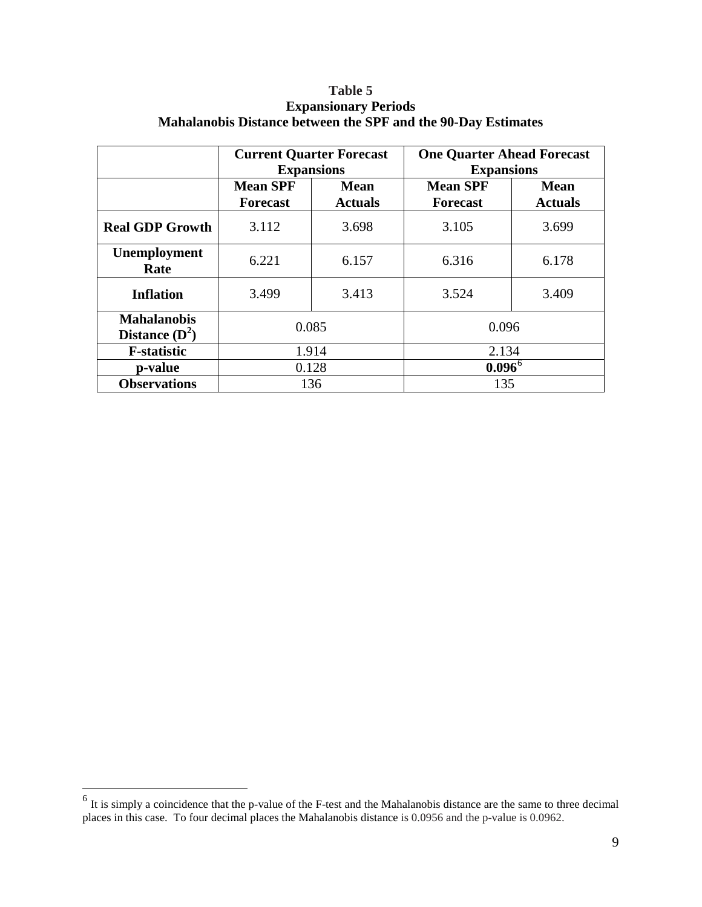|                                        |                                    | <b>Current Quarter Forecast</b><br><b>Expansions</b> | <b>One Quarter Ahead Forecast</b><br><b>Expansions</b> |                               |  |
|----------------------------------------|------------------------------------|------------------------------------------------------|--------------------------------------------------------|-------------------------------|--|
|                                        | <b>Mean SPF</b><br><b>Forecast</b> | <b>Mean</b><br><b>Actuals</b>                        | <b>Mean SPF</b><br><b>Forecast</b>                     | <b>Mean</b><br><b>Actuals</b> |  |
| <b>Real GDP Growth</b>                 | 3.112                              | 3.698                                                | 3.105                                                  | 3.699                         |  |
| Unemployment<br>Rate                   | 6.221                              | 6.157                                                | 6.316                                                  | 6.178                         |  |
| <b>Inflation</b>                       | 3.499<br>3.413                     |                                                      | 3.524                                                  | 3.409                         |  |
| <b>Mahalanobis</b><br>Distance $(D^2)$ | 0.085                              |                                                      | 0.096                                                  |                               |  |
| <b>F</b> -statistic                    |                                    | 1.914                                                | 2.134                                                  |                               |  |
| p-value                                |                                    | 0.128                                                | $0.096^{\circ}$                                        |                               |  |
| <b>Observations</b>                    |                                    | 136                                                  | 135                                                    |                               |  |

## **Table 5 Expansionary Periods Mahalanobis Distance between the SPF and the 90-Day Estimates**

<span id="page-10-0"></span> $<sup>6</sup>$  It is simply a coincidence that the p-value of the F-test and the Mahalanobis distance are the same to three decimal</sup> places in this case. To four decimal places the Mahalanobis distance is 0.0956 and the p-value is 0.0962.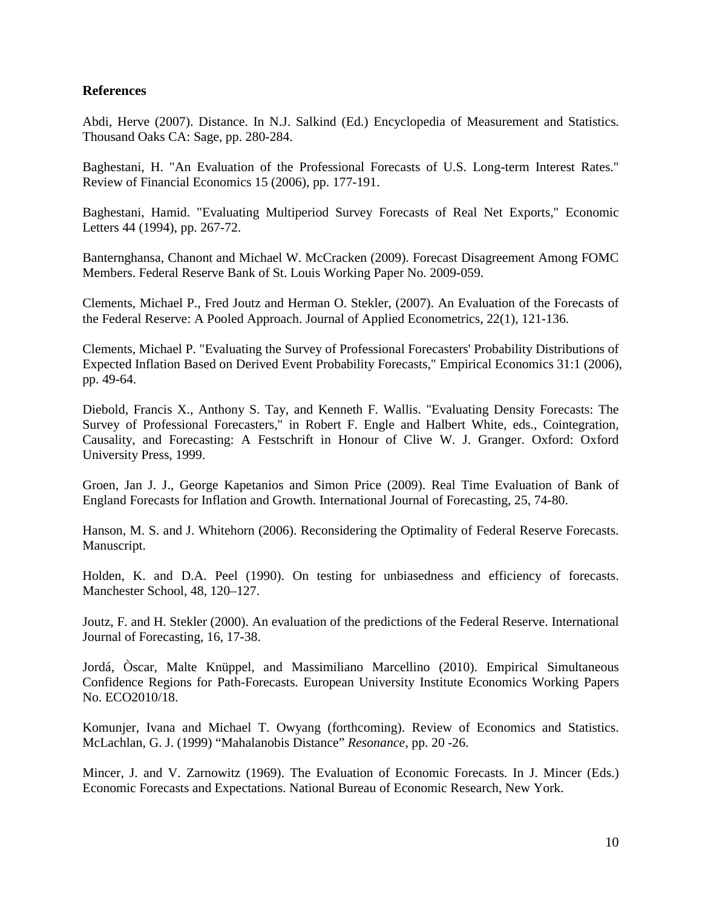### **References**

Abdi, Herve (2007). Distance. In N.J. Salkind (Ed.) Encyclopedia of Measurement and Statistics. Thousand Oaks CA: Sage, pp. 280-284.

Baghestani, H. "An Evaluation of the Professional Forecasts of U.S. Long-term Interest Rates." Review of Financial Economics 15 (2006), pp. 177-191.

Baghestani, Hamid. "Evaluating Multiperiod Survey Forecasts of Real Net Exports," Economic Letters 44 (1994), pp. 267-72.

Banternghansa, Chanont and Michael W. McCracken (2009). Forecast Disagreement Among FOMC Members. Federal Reserve Bank of St. Louis Working Paper No. 2009-059.

Clements, Michael P., Fred Joutz and Herman O. Stekler, (2007). An Evaluation of the Forecasts of the Federal Reserve: A Pooled Approach. Journal of Applied Econometrics, 22(1), 121-136.

Clements, Michael P. "Evaluating the Survey of Professional Forecasters' Probability Distributions of Expected Inflation Based on Derived Event Probability Forecasts," Empirical Economics 31:1 (2006), pp. 49-64.

Diebold, Francis X., Anthony S. Tay, and Kenneth F. Wallis. "Evaluating Density Forecasts: The Survey of Professional Forecasters," in Robert F. Engle and Halbert White, eds., Cointegration, Causality, and Forecasting: A Festschrift in Honour of Clive W. J. Granger. Oxford: Oxford University Press, 1999.

Groen, Jan J. J., George Kapetanios and Simon Price (2009). Real Time Evaluation of Bank of England Forecasts for Inflation and Growth. International Journal of Forecasting, 25, 74-80.

Hanson, M. S. and J. Whitehorn (2006). Reconsidering the Optimality of Federal Reserve Forecasts. Manuscript.

Holden, K. and D.A. Peel (1990). On testing for unbiasedness and efficiency of forecasts. Manchester School, 48, 120–127.

Joutz, F. and H. Stekler (2000). An evaluation of the predictions of the Federal Reserve. International Journal of Forecasting, 16, 17-38.

Jordá, Òscar, Malte Knüppel, and Massimiliano Marcellino (2010). Empirical Simultaneous Confidence Regions for Path-Forecasts. European University Institute Economics Working Papers No. ECO2010/18.

Komunjer, Ivana and Michael T. Owyang (forthcoming). Review of Economics and Statistics. McLachlan, G. J. (1999) "Mahalanobis Distance" *Resonance*, pp. 20 -26.

Mincer, J. and V. Zarnowitz (1969). The Evaluation of Economic Forecasts. In J. Mincer (Eds.) Economic Forecasts and Expectations. National Bureau of Economic Research, New York.